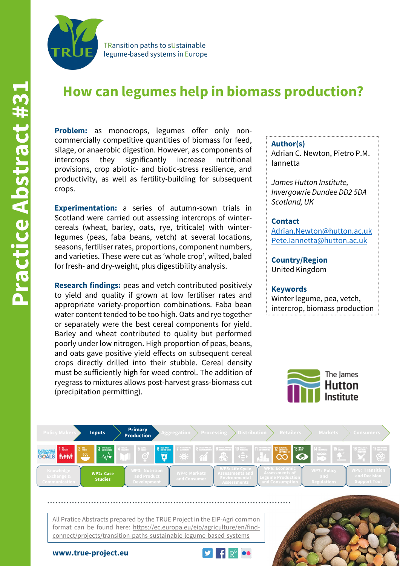

**TRansition paths to sUstainable** legume-based systems in Europe

# **How can legumes help in biomass production?**

Problem: as monocrops, legumes offer only noncommercially competitive quantities of biomass for feed, silage, or anaerobic digestion. However, as components of intercrops they significantly increase nutritional provisions, crop abiotic- and biotic-stress resilience, and productivity, as well as fertility-building for subsequent crops.

**Experimentation:** a series of autumn-sown trials in Scotland were carried out assessing intercrops of wintercereals (wheat, barley, oats, rye, triticale) with winterlegumes (peas, faba beans, vetch) at several locations, seasons, fertiliser rates, proportions, component numbers, and varieties. These were cut as 'whole crop', wilted, baled for fresh- and dry-weight, plus digestibility analysis.

**Research findings:** peas and vetch contributed positively to yield and quality if grown at low fertiliser rates and appropriate variety-proportion combinations. Faba bean water content tended to be too high. Oats and rye together or separately were the best cereal components for yield. Barley and wheat contributed to quality but performed poorly under low nitrogen. High proportion of peas, beans, and oats gave positive yield effects on subsequent cereal crops directly drilled into their stubble. Cereal density must be sufficiently high for weed control. The addition of ryegrass to mixtures allows post-harvest grass-biomass cut (precipitation permitting).

#### **Author(s)**

Adrian C. Newton, Pietro P.M. Iannetta

*James Hutton Institute, Invergowrie Dundee DD2 5DA Scotland, UK*

#### **Contact**

[Adrian.Newton@hutton.ac.uk](mailto:Adrian.Newton@hutton.ac.uk) [Pete.Iannetta@hutton.ac.uk](mailto:Pete.Iannetta@hutton.ac.uk)

**Country/Region** United Kingdom

#### **Keywords** Winter legume, pea, vetch,

intercrop, biomass production





All Pratice Abstracts prepared by the TRUE Project in the EIP-Agri common format can be found here: https://ec.europa.eu/eip/agriculture/en/findconnect/projects/transition-paths-sustainable-legume-based-systems



**www.true-project.eu**